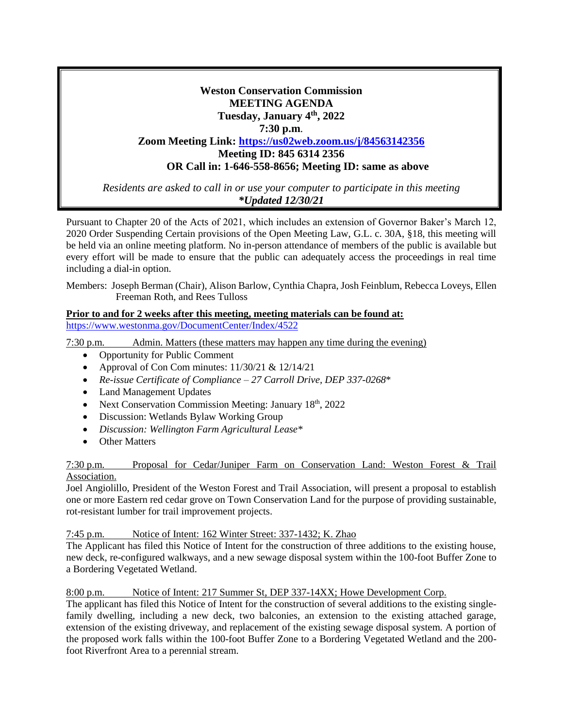# **Weston Conservation Commission MEETING AGENDA Tuesday, January 4th, 2022 7:30 p.m**. **Zoom Meeting Link: <https://us02web.zoom.us/j/84563142356> Meeting ID: 845 6314 2356 OR Call in: 1-646-558-8656; Meeting ID: same as above**

*Residents are asked to call in or use your computer to participate in this meeting \*Updated 12/30/21*

Pursuant to Chapter 20 of the Acts of 2021, which includes an extension of Governor Baker's March 12, 2020 Order Suspending Certain provisions of the Open Meeting Law, G.L. c. 30A, §18, this meeting will be held via an online meeting platform. No in-person attendance of members of the public is available but every effort will be made to ensure that the public can adequately access the proceedings in real time including a dial-in option.

Members: Joseph Berman (Chair), Alison Barlow, Cynthia Chapra, Josh Feinblum, Rebecca Loveys, Ellen Freeman Roth, and Rees Tulloss

# **Prior to and for 2 weeks after this meeting, meeting materials can be found at:** <https://www.westonma.gov/DocumentCenter/Index/4522>

7:30 p.m. Admin. Matters (these matters may happen any time during the evening)

- Opportunity for Public Comment
- Approval of Con Com minutes:  $11/30/21 \& 12/14/21$
- *Re-issue Certificate of Compliance – 27 Carroll Drive, DEP 337-0268*\*
- Land Management Updates
- Next Conservation Commission Meeting: January 18<sup>th</sup>, 2022
- Discussion: Wetlands Bylaw Working Group
- *Discussion: Wellington Farm Agricultural Lease\**
- Other Matters

## 7:30 p.m. Proposal for Cedar/Juniper Farm on Conservation Land: Weston Forest & Trail Association.

Joel Angiolillo, President of the Weston Forest and Trail Association, will present a proposal to establish one or more Eastern red cedar grove on Town Conservation Land for the purpose of providing sustainable, rot-resistant lumber for trail improvement projects.

7:45 p.m. Notice of Intent: 162 Winter Street: 337-1432; K. Zhao

The Applicant has filed this Notice of Intent for the construction of three additions to the existing house, new deck, re-configured walkways, and a new sewage disposal system within the 100-foot Buffer Zone to a Bordering Vegetated Wetland.

8:00 p.m. Notice of Intent: 217 Summer St, DEP 337-14XX; Howe Development Corp.

The applicant has filed this Notice of Intent for the construction of several additions to the existing singlefamily dwelling, including a new deck, two balconies, an extension to the existing attached garage, extension of the existing driveway, and replacement of the existing sewage disposal system. A portion of the proposed work falls within the 100-foot Buffer Zone to a Bordering Vegetated Wetland and the 200 foot Riverfront Area to a perennial stream.